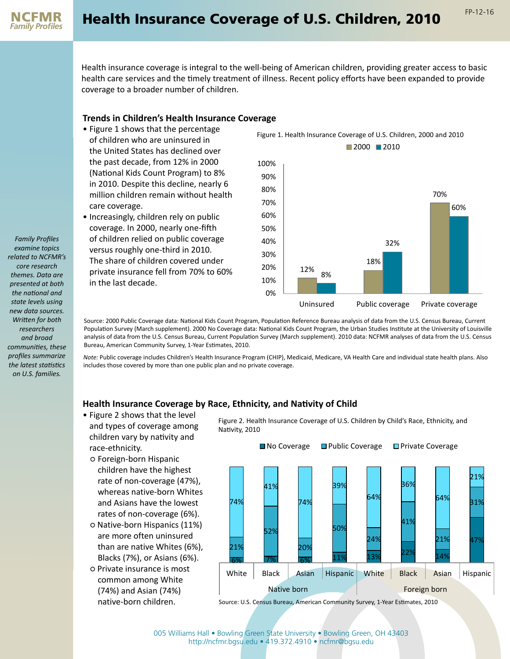

Health insurance coverage is integral to the well-being of American children, providing greater access to basic health care services and the timely treatment of illness. Recent policy efforts have been expanded to provide coverage to a broader number of children.

## **Trends in Children's Health Insurance Coverage**

- Figure 1 shows that the percentage of children who are uninsured in the United States has declined over the past decade, from 12% in 2000 (National Kids Count Program) to 8% in 2010. Despite this decline, nearly 6 million children remain without health care coverage.
- Increasingly, children rely on public coverage. In 2000, nearly one-fifth of children relied on public coverage versus roughly one-third in 2010. The share of children covered under private insurance fell from 70% to 60% in the last decade.



Source: 2000 Public Coverage data: National Kids Count Program, Population Reference Bureau analysis of data from the U.S. Census Bureau, Current Population Survey (March supplement). 2000 No Coverage data: National Kids Count Program, the Urban Studies Institute at the University of Louisville analysis of data from the U.S. Census Bureau, Current Population Survey (March supplement). 2010 data: NCFMR analyses of data from the U.S. Census Bureau, American Community Survey, 1-Year Estimates, 2010.

*Note:* Public coverage includes Children's Health Insurance Program (CHIP), Medicaid, Medicare, VA Health Care and individual state health plans. Also includes those covered by more than one public plan and no private coverage.

## **Health Insurance Coverage by Race, Ethnicity, and Nativity of Child**

- Figure 2 shows that the level and types of coverage among children vary by nativity and race-ethnicity.
	- Foreign-born Hispanic children have the highest rate of non-coverage (47%), whereas native-born Whites and Asians have the lowest rates of non-coverage (6%).
	- Native-born Hispanics (11%) are more often uninsured than are native Whites (6%), Blacks (7%), or Asians (6%).
	- Private insurance is most common among White (74%) and Asian (74%) native-born children.

Figure 2. Health Insurance Coverage of U.S. Children by Child's Race, Ethnicity, and Nativity, 2010



Source: U.S. Census Bureau, American Community Survey, 1-Year Estimates, 2010

*Family Profiles examine topics related to NCFMR's core research themes. Data are presented at both the national and state levels using new data sources. Written for both researchers and broad communities, these profiles summarize the latest statistics on U.S. families.*